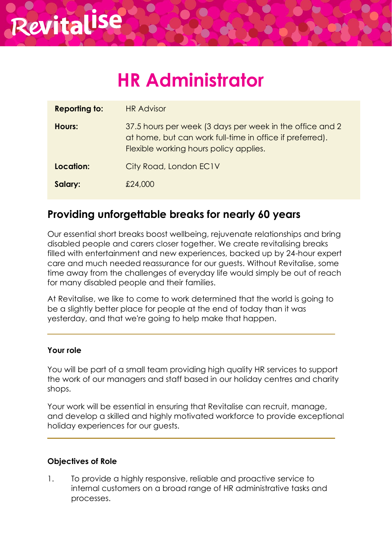# **HR Administrator**

| <b>Reporting to:</b> | <b>HR Advisor</b>                                                                                                                                              |
|----------------------|----------------------------------------------------------------------------------------------------------------------------------------------------------------|
| Hours:               | 37.5 hours per week (3 days per week in the office and 2<br>at home, but can work full-time in office if preferred).<br>Flexible working hours policy applies. |
| Location:            | City Road, London EC1V                                                                                                                                         |
| Salary:              | £24,000                                                                                                                                                        |

## **Providing unforgettable breaks for nearly 60 years**

Our essential short breaks boost wellbeing, rejuvenate relationships and bring **Salary:**disabled people and carers closer together. We create revitalising breaks filled with entertainment and new experiences, backed up by 24-hour expert care and much needed reassurance for our guests. Without Revitalise, some time away from the challenges of everyday life would simply be out of reach for many disabled people and their families.

At Revitalise, we like to come to work determined that the world is going to be a slightly better place for people at the end of today than it was yesterday, and that we're going to help make that happen.

## **Your role**

You will be part of a small team providing high quality HR services to support the work of our managers and staff based in our holiday centres and charity shops.

Your work will be essential in ensuring that Revitalise can recruit, manage, and develop a skilled and highly motivated workforce to provide exceptional holiday experiences for our guests.

## **Objectives of Role**

1. To provide a highly responsive, reliable and proactive service to internal customers on a broad range of HR administrative tasks and processes.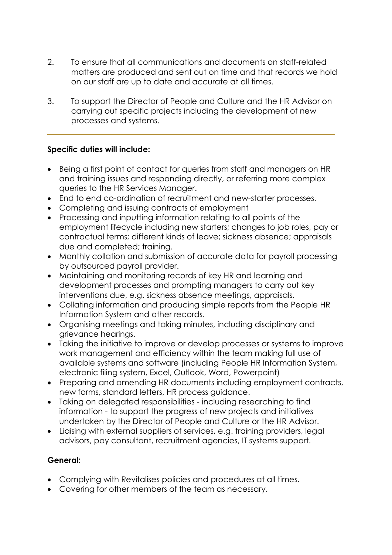- 2. To ensure that all communications and documents on staff-related matters are produced and sent out on time and that records we hold on our staff are up to date and accurate at all times.
- 3. To support the Director of People and Culture and the HR Advisor on carrying out specific projects including the development of new processes and systems.

## **Specific duties will include:**

- Being a first point of contact for queries from staff and managers on HR and training issues and responding directly, or referring more complex queries to the HR Services Manager.
- End to end co-ordination of recruitment and new-starter processes.
- Completing and issuing contracts of employment
- Processing and inputting information relating to all points of the employment lifecycle including new starters; changes to job roles, pay or contractual terms; different kinds of leave; sickness absence; appraisals due and completed; training.
- Monthly collation and submission of accurate data for payroll processing by outsourced payroll provider.
- Maintaining and monitoring records of key HR and learning and development processes and prompting managers to carry out key interventions due, e.g. sickness absence meetings, appraisals.
- Collating information and producing simple reports from the People HR Information System and other records.
- Organising meetings and taking minutes, including disciplinary and grievance hearings.
- Taking the initiative to improve or develop processes or systems to improve work management and efficiency within the team making full use of available systems and software (including People HR Information System, electronic filing system, Excel, Outlook, Word, Powerpoint)
- Preparing and amending HR documents including employment contracts, new forms, standard letters, HR process guidance.
- Taking on delegated responsibilities including researching to find information - to support the progress of new projects and initiatives undertaken by the Director of People and Culture or the HR Advisor.
- Liaising with external suppliers of services, e.g. training providers, legal advisors, pay consultant, recruitment agencies, IT systems support.

## **General:**

- Complying with Revitalises policies and procedures at all times.
- Covering for other members of the team as necessary.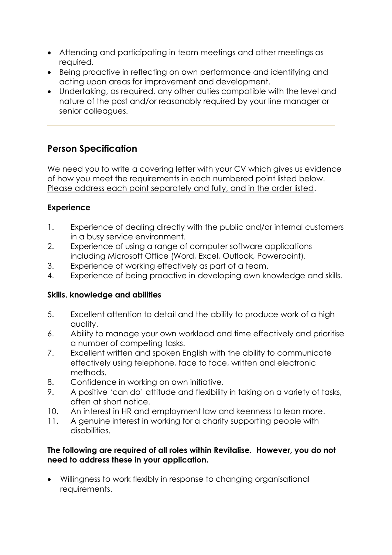- Attending and participating in team meetings and other meetings as required.
- Being proactive in reflecting on own performance and identifying and acting upon areas for improvement and development.
- Undertaking, as required, any other duties compatible with the level and nature of the post and/or reasonably required by your line manager or senior colleagues.

## **Person Specification**

We need you to write a covering letter with your CV which gives us evidence of how you meet the requirements in each numbered point listed below. Please address each point separately and fully, and in the order listed.

## **Experience**

- 1. Experience of dealing directly with the public and/or internal customers in a busy service environment.
- 2. Experience of using a range of computer software applications including Microsoft Office (Word, Excel, Outlook, Powerpoint).
- 3. Experience of working effectively as part of a team.
- 4. Experience of being proactive in developing own knowledge and skills.

## **Skills, knowledge and abilities**

- 5. Excellent attention to detail and the ability to produce work of a high quality.
- 6. Ability to manage your own workload and time effectively and prioritise a number of competing tasks.
- 7. Excellent written and spoken English with the ability to communicate effectively using telephone, face to face, written and electronic methods.
- 8. Confidence in working on own initiative.
- 9. A positive 'can do' attitude and flexibility in taking on a variety of tasks, often at short notice.
- 10. An interest in HR and employment law and keenness to lean more.
- 11. A genuine interest in working for a charity supporting people with disabilities.

## **The following are required of all roles within Revitalise. However, you do not need to address these in your application.**

• Willingness to work flexibly in response to changing organisational requirements.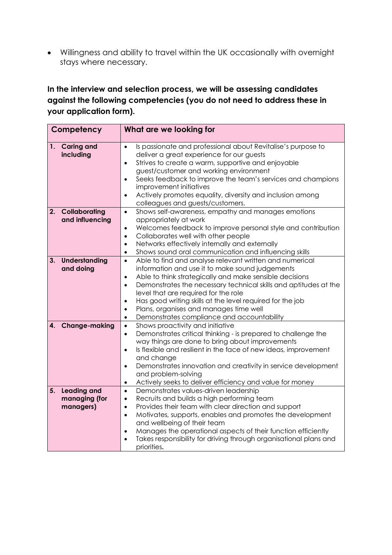• Willingness and ability to travel within the UK occasionally with overnight stays where necessary.

## **In the interview and selection process, we will be assessing candidates against the following competencies (you do not need to address these in your application form).**

| Competency |                                                  | What are we looking for                                                                                                                                                                                                                                                                                                                                                                                                                                                                                              |
|------------|--------------------------------------------------|----------------------------------------------------------------------------------------------------------------------------------------------------------------------------------------------------------------------------------------------------------------------------------------------------------------------------------------------------------------------------------------------------------------------------------------------------------------------------------------------------------------------|
| 1.         | <b>Caring and</b><br>including                   | Is passionate and professional about Revitalise's purpose to<br>$\bullet$<br>deliver a great experience for our guests<br>Strives to create a warm, supportive and enjoyable<br>$\bullet$<br>guest/customer and working environment<br>Seeks feedback to improve the team's services and champions<br>$\bullet$<br>improvement initiatives<br>Actively promotes equality, diversity and inclusion among<br>$\bullet$<br>colleagues and guests/customers.                                                             |
| 2.         | Collaborating<br>and influencing                 | Shows self-awareness, empathy and manages emotions<br>$\bullet$<br>appropriately at work<br>Welcomes feedback to improve personal style and contribution<br>$\bullet$<br>Collaborates well with other people<br>$\bullet$<br>Networks effectively internally and externally<br>$\bullet$<br>Shows sound oral communication and influencing skills<br>$\bullet$                                                                                                                                                       |
| 3.         | Understanding<br>and doing                       | Able to find and analyse relevant written and numerical<br>$\bullet$<br>information and use it to make sound judgements<br>Able to think strategically and make sensible decisions<br>$\bullet$<br>Demonstrates the necessary technical skills and aptitudes at the<br>$\bullet$<br>level that are required for the role<br>Has good writing skills at the level required for the job<br>$\bullet$<br>Plans, organises and manages time well<br>$\bullet$<br>Demonstrates compliance and accountability<br>$\bullet$ |
| 4.         | <b>Change-making</b>                             | Shows proactivity and initiative<br>$\bullet$<br>Demonstrates critical thinking - is prepared to challenge the<br>$\bullet$<br>way things are done to bring about improvements<br>Is flexible and resilient in the face of new ideas, improvement<br>$\bullet$<br>and change<br>Demonstrates innovation and creativity in service development<br>$\bullet$<br>and problem-solving<br>Actively seeks to deliver efficiency and value for money<br>$\bullet$                                                           |
| 5.         | <b>Leading and</b><br>managing (for<br>managers) | Demonstrates values-driven leadership<br>$\bullet$<br>Recruits and builds a high performing team<br>$\bullet$<br>Provides their team with clear direction and support<br>$\bullet$<br>Motivates, supports, enables and promotes the development<br>$\bullet$<br>and wellbeing of their team<br>Manages the operational aspects of their function efficiently<br>$\bullet$<br>Takes responsibility for driving through organisational plans and<br>priorities.                                                        |